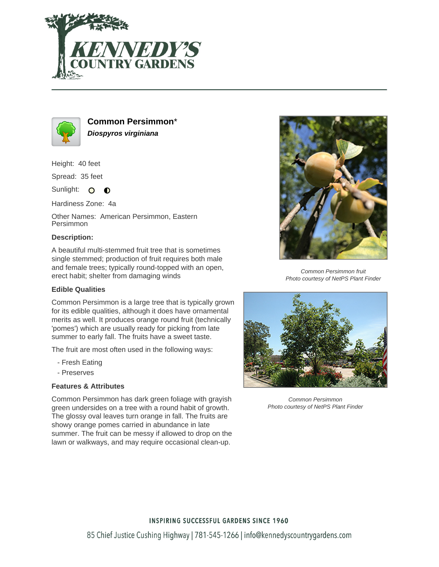



**Common Persimmon**\* **Diospyros virginiana**

Height: 40 feet

Spread: 35 feet

Sunlight: O O

Hardiness Zone: 4a

Other Names: American Persimmon, Eastern Persimmon

## **Description:**

A beautiful multi-stemmed fruit tree that is sometimes single stemmed; production of fruit requires both male and female trees; typically round-topped with an open, erect habit; shelter from damaging winds

## **Edible Qualities**

Common Persimmon is a large tree that is typically grown for its edible qualities, although it does have ornamental merits as well. It produces orange round fruit (technically 'pomes') which are usually ready for picking from late summer to early fall. The fruits have a sweet taste.

The fruit are most often used in the following ways:

- Fresh Eating
- Preserves

## **Features & Attributes**

Common Persimmon has dark green foliage with grayish green undersides on a tree with a round habit of growth. The glossy oval leaves turn orange in fall. The fruits are showy orange pomes carried in abundance in late summer. The fruit can be messy if allowed to drop on the lawn or walkways, and may require occasional clean-up.



Common Persimmon fruit Photo courtesy of NetPS Plant Finder



Common Persimmon Photo courtesy of NetPS Plant Finder